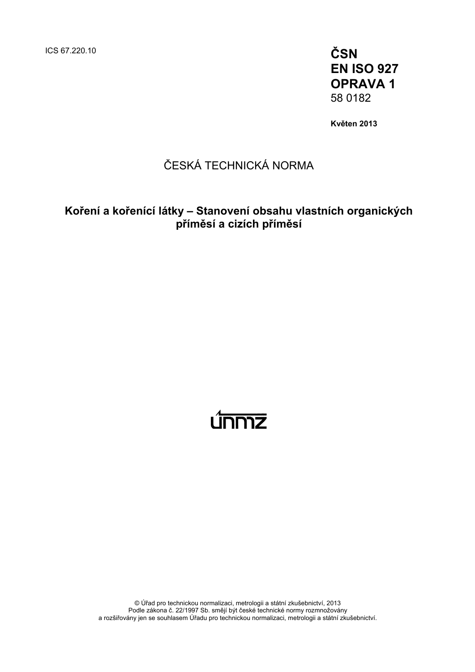ICS 67.220.10 **ČSN** 

**EN ISO 927 OPRAVA 1**  58 0182

**Květen 2013** 

# ČESKÁ TECHNICKÁ NORMA

## **Koření a kořenící látky – Stanovení obsahu vlastních organických příměsí a cizích příměsí**

# <u>únmz</u>

© Úřad pro technickou normalizaci, metrologii a státní zkušebnictví, 2013 Podle zákona č. 22/1997 Sb. smějí být české technické normy rozmnožovány a rozšiřovány jen se souhlasem Úřadu pro technickou normalizaci, metrologii a státní zkušebnictví.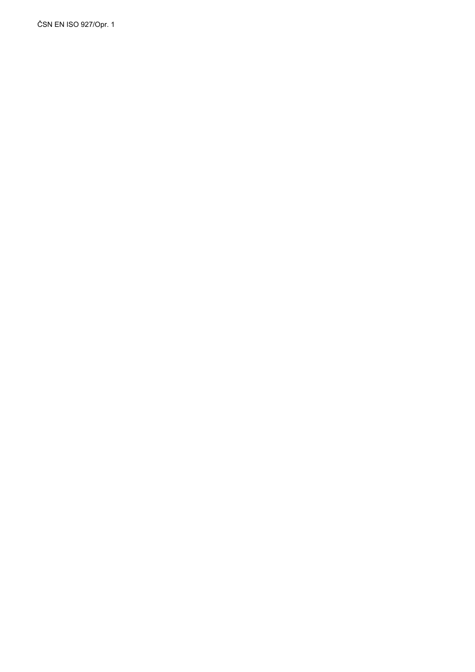ČSN EN ISO 927/Opr. 1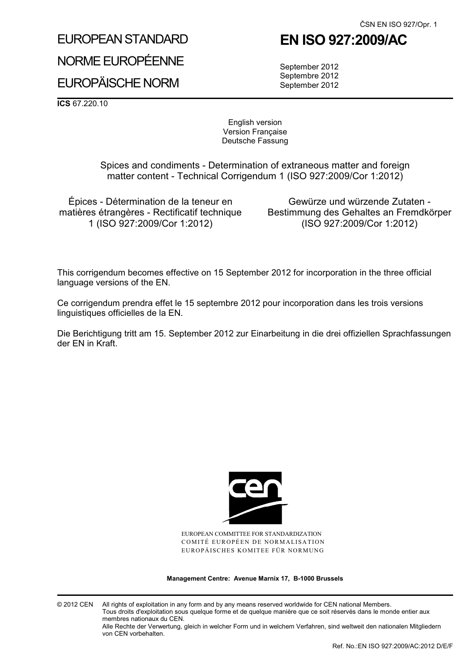## EUROPEAN STANDARD

# **EN ISO 927:2009/AC**

NORME EUROPÉENNE EUROPÄISCHE NORM

 September 2012 Septembre 2012 September 2012

**ICS** 67.220.10

English version Version Française Deutsche Fassung

 Spices and condiments - Determination of extraneous matter and foreign matter content - Technical Corrigendum 1 (ISO 927:2009/Cor 1:2012)

Épices - Détermination de la teneur en matières étrangères - Rectificatif technique 1 (ISO 927:2009/Cor 1:2012)

 Gewürze und würzende Zutaten - Bestimmung des Gehaltes an Fremdkörper (ISO 927:2009/Cor 1:2012)

This corrigendum becomes effective on 15 September 2012 for incorporation in the three official language versions of the EN.

Ce corrigendum prendra effet le 15 septembre 2012 pour incorporation dans les trois versions linguistiques officielles de la EN.

Die Berichtigung tritt am 15. September 2012 zur Einarbeitung in die drei offiziellen Sprachfassungen der EN in Kraft.



EUROPEAN COMMITTEE FOR STANDARDIZATION COMITÉ EUROPÉEN DE NORMALISATION EUROPÄISCHES KOMITEE FÜR NORMUNG

**Management Centre: Avenue Marnix 17, B-1000 Brussels** 

© 2012 CEN All rights of exploitation in any form and by any means reserved worldwide for CEN national Members. Tous droits d'exploitation sous quelque forme et de quelque manière que ce soit réservés dans le monde entier aux membres nationaux du CEN.

Alle Rechte der Verwertung, gleich in welcher Form und in welchem Verfahren, sind weltweit den nationalen Mitgliedern von CEN vorbehalten.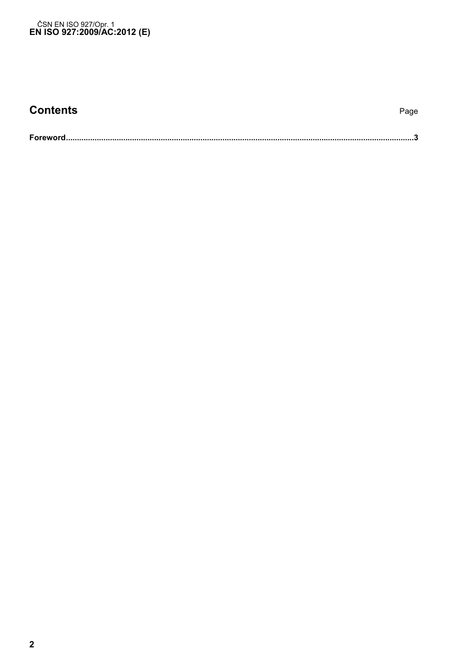# ČSN EN ISO 927/Opr. 1<br>EN ISO 927:2009/AC:2012 (E)

## **Contents**

### Page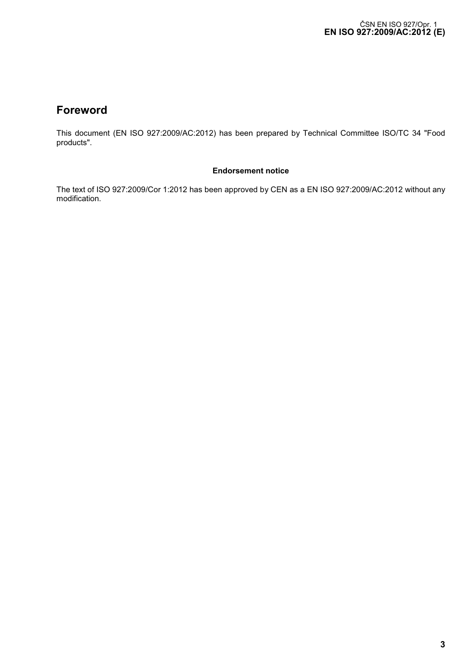## **Foreword**

This document (EN ISO 927:2009/AC:2012) has been prepared by Technical Committee ISO/TC 34 "Food products".

### **Endorsement notice**

The text of ISO 927:2009/Cor 1:2012 has been approved by CEN as a EN ISO 927:2009/AC:2012 without any modification.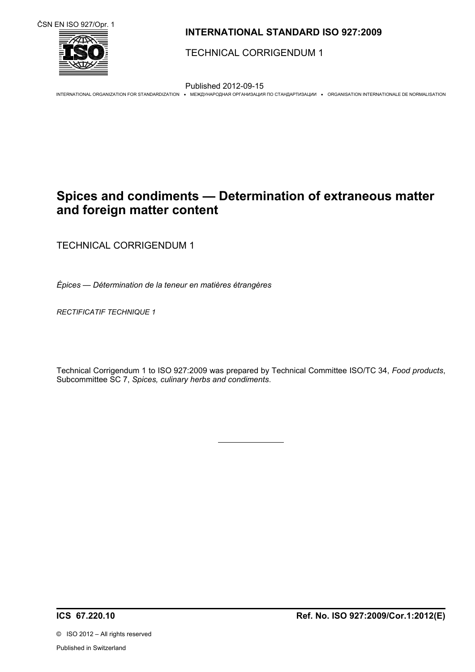ČSN EN ISO 927/Opr. 1



## **INTERNATIONAL STANDARD ISO 927:2009**

TECHNICAL CORRIGENDUM 1

Published 2012-09-15

INTERNATIONAL ORGANIZATION FOR STANDARDIZATION · MEЖДУНАРОДНАЯ ОРГАНИЗАЦИЯ ПО СТАНДАРТИЗАЦИИ · ORGANISATION INTERNATIONALE DE NORMALISATION

# **Spices and condiments — Determination of extraneous matter and foreign matter content**

TECHNICAL CORRIGENDUM 1

*Épices — Détermination de la teneur en matières étrangères*

*RECTIFICATIF TECHNIQUE 1*

Technical Corrigendum 1 to ISO 927:2009 was prepared by Technical Committee ISO/TC 34, *Food products*, Subcommittee SC 7, *Spices, culinary herbs and condiments*.

 $\overline{a}$ 

©ISO 2012 – All rights reserved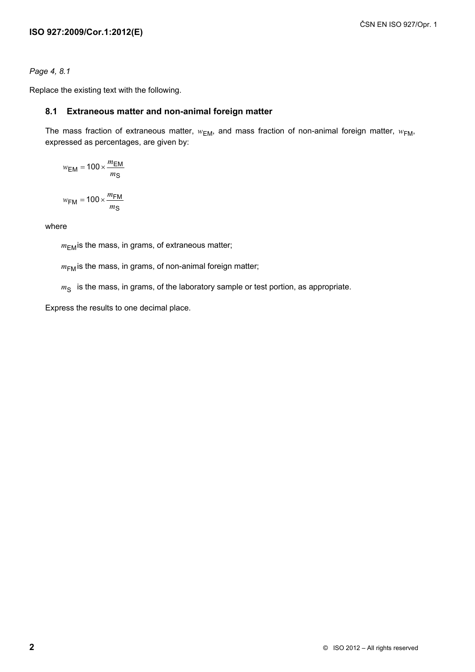#### *Page 4, 8.1*

Replace the existing text with the following.

#### **8.1 Extraneous matter and non-animal foreign matter**

The mass fraction of extraneous matter,  $w_{FM}$ , and mass fraction of non-animal foreign matter,  $w_{FM}$ , expressed as percentages, are given by:

$$
w_{EM} = 100 \times \frac{m_{EM}}{m_S}
$$

$$
w_{FM} = 100 \times \frac{m_{FM}}{m_S}
$$

#### where

 $m_{\text{FM}}$  is the mass, in grams, of extraneous matter;

 $m_{FM}$  is the mass, in grams, of non-animal foreign matter;

 $m<sub>S</sub>$  is the mass, in grams, of the laboratory sample or test portion, as appropriate.

Express the results to one decimal place.